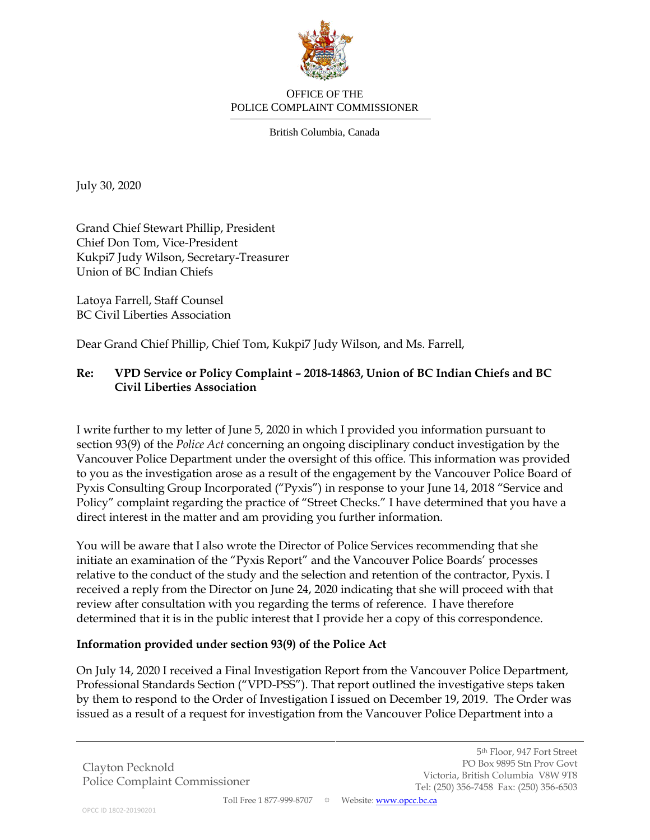

## OFFICE OF THE POLICE COMPLAINT COMMISSIONER

British Columbia, Canada

July 30, 2020

Grand Chief Stewart Phillip, President Chief Don Tom, Vice-President Kukpi7 Judy Wilson, Secretary-Treasurer Union of BC Indian Chiefs

Latoya Farrell, Staff Counsel BC Civil Liberties Association

Dear Grand Chief Phillip, Chief Tom, Kukpi7 Judy Wilson, and Ms. Farrell,

## **Re: VPD Service or Policy Complaint – 2018-14863, Union of BC Indian Chiefs and BC Civil Liberties Association**

I write further to my letter of June 5, 2020 in which I provided you information pursuant to section 93(9) of the *Police Act* concerning an ongoing disciplinary conduct investigation by the Vancouver Police Department under the oversight of this office. This information was provided to you as the investigation arose as a result of the engagement by the Vancouver Police Board of Pyxis Consulting Group Incorporated ("Pyxis") in response to your June 14, 2018 "Service and Policy" complaint regarding the practice of "Street Checks." I have determined that you have a direct interest in the matter and am providing you further information.

You will be aware that I also wrote the Director of Police Services recommending that she initiate an examination of the "Pyxis Report" and the Vancouver Police Boards' processes relative to the conduct of the study and the selection and retention of the contractor, Pyxis. I received a reply from the Director on June 24, 2020 indicating that she will proceed with that review after consultation with you regarding the terms of reference. I have therefore determined that it is in the public interest that I provide her a copy of this correspondence.

## **Information provided under section 93(9) of the Police Act**

On July 14, 2020 I received a Final Investigation Report from the Vancouver Police Department, Professional Standards Section ("VPD-PSS"). That report outlined the investigative steps taken by them to respond to the Order of Investigation I issued on December 19, 2019. The Order was issued as a result of a request for investigation from the Vancouver Police Department into a

Clayton Pecknold Police Complaint Commissioner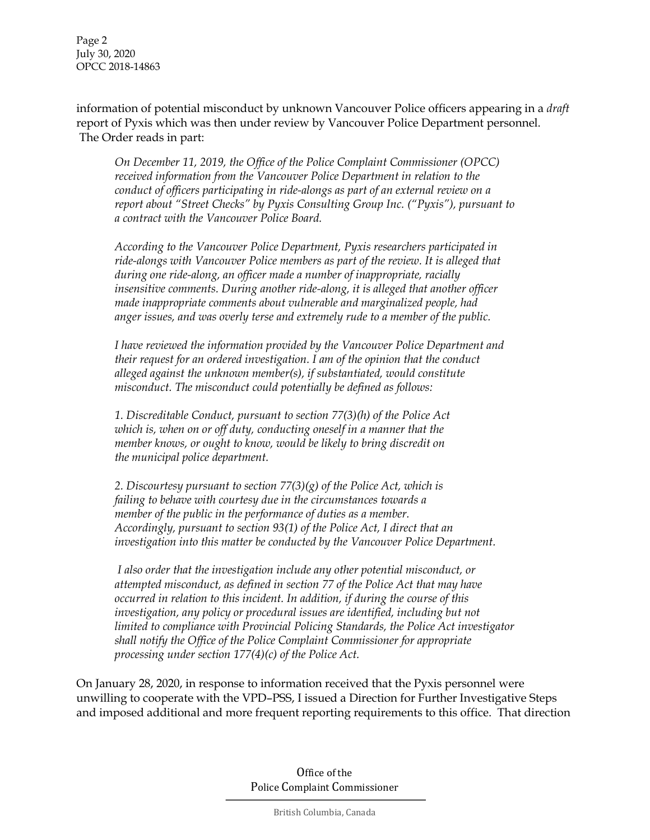Page 2 July 30, 2020 OPCC 2018-14863

information of potential misconduct by unknown Vancouver Police officers appearing in a *draft*  report of Pyxis which was then under review by Vancouver Police Department personnel. The Order reads in part:

*On December 11, 2019, the Office of the Police Complaint Commissioner (OPCC) received information from the Vancouver Police Department in relation to the conduct of officers participating in ride-alongs as part of an external review on a report about "Street Checks" by Pyxis Consulting Group Inc. ("Pyxis"), pursuant to a contract with the Vancouver Police Board.*

*According to the Vancouver Police Department, Pyxis researchers participated in ride-alongs with Vancouver Police members as part of the review. It is alleged that during one ride-along, an officer made a number of inappropriate, racially insensitive comments. During another ride-along, it is alleged that another officer made inappropriate comments about vulnerable and marginalized people, had anger issues, and was overly terse and extremely rude to a member of the public.*

*I have reviewed the information provided by the Vancouver Police Department and their request for an ordered investigation. I am of the opinion that the conduct alleged against the unknown member(s), if substantiated, would constitute misconduct. The misconduct could potentially be defined as follows:*

*1. Discreditable Conduct, pursuant to section 77(3)(h) of the Police Act which is, when on or off duty, conducting oneself in a manner that the member knows, or ought to know, would be likely to bring discredit on the municipal police department.*

*2. Discourtesy pursuant to section 77(3)(g) of the Police Act, which is failing to behave with courtesy due in the circumstances towards a member of the public in the performance of duties as a member. Accordingly, pursuant to section 93(1) of the Police Act, I direct that an investigation into this matter be conducted by the Vancouver Police Department.*

*I also order that the investigation include any other potential misconduct, or attempted misconduct, as defined in section 77 of the Police Act that may have occurred in relation to this incident. In addition, if during the course of this investigation, any policy or procedural issues are identified, including but not limited to compliance with Provincial Policing Standards, the Police Act investigator shall notify the Office of the Police Complaint Commissioner for appropriate processing under section 177(4)(c) of the Police Act.*

On January 28, 2020, in response to information received that the Pyxis personnel were unwilling to cooperate with the VPD–PSS, I issued a Direction for Further Investigative Steps and imposed additional and more frequent reporting requirements to this office. That direction

> Office of the Police Complaint Commissioner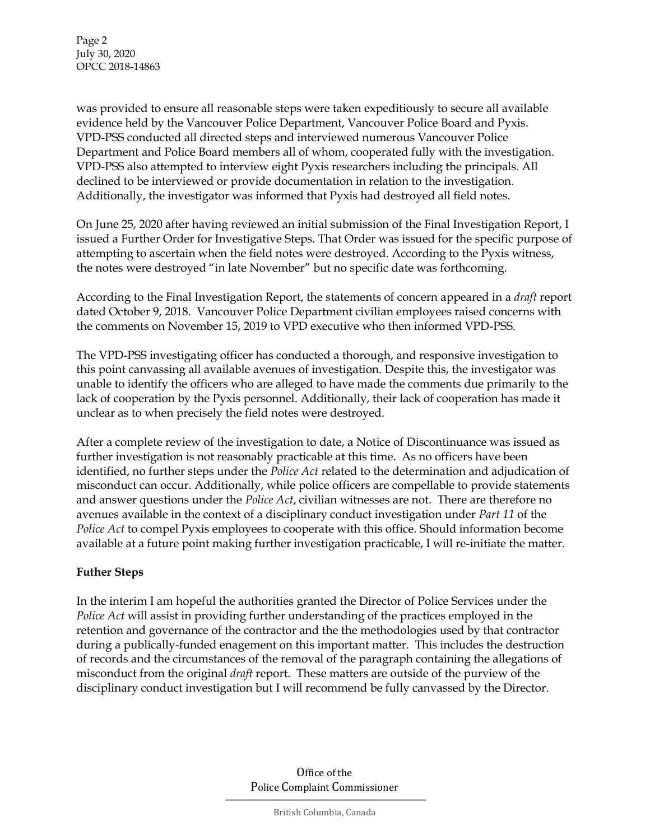Page 2 July 30, 2020 OPCC 2018-14863

was provided to ensure all reasonable steps were taken expeditiously to secure all available evidence held by the Vancouver Police Department, Vancouver Police Board and Pyxis. VPD-PSS conducted all directed steps and interviewed numerous Vancouver Police Department and Police Board members all of whom, cooperated fully with the investigation. VPD-PSS also attempted to interview eight Pyxis researchers including the principals. All declined to be interviewed or provide documentation in relation to the investigation. Additionally, the investigator was informed that Pyxis had destroyed all field notes.

On June 25, 2020 after having reviewed an initial submission of the Final Investigation Report, I issued a Further Order for Investigative Steps. That Order was issued for the specific purpose of attempting to ascertain when the field notes were destroyed. According to the Pyxis witness, the notes were destroyed "in late November" but no specific date was forthcoming.

According to the Final Investigation Report, the statements of concern appeared in a *draft* report dated October 9, 2018. Vancouver Police Department civilian employees raised concerns with the comments on November 15, 2019 to VPD executive who then informed VPD-PSS.

The VPD-PSS investigating officer has conducted a thorough, and responsive investigation to this point canvassing all available avenues of investigation. Despite this, the investigator was unable to identify the officers who are alleged to have made the comments due primarily to the lack of cooperation by the Pyxis personnel. Additionally, their lack of cooperation has made it unclear as to when precisely the field notes were destroyed.

After a complete review of the investigation to date, a Notice of Discontinuance was issued as further investigation is not reasonably practicable at this time. As no officers have been identified, no further steps under the *Police Act* related to the determination and adjudication of misconduct can occur. Additionally, while police officers are compellable to provide statements and answer questions under the *Police Act*, civilian witnesses are not. There are therefore no avenues available in the context of a disciplinary conduct investigation under *Part 11* of the *Police Act* to compel Pyxis employees to cooperate with this office. Should information become available at a future point making further investigation practicable, I will re-initiate the matter.

## **Futher Steps**

In the interim I am hopeful the authorities granted the Director of Police Services under the *Police Act* will assist in providing further understanding of the practices employed in the retention and governance of the contractor and the the methodologies used by that contractor during a publically-funded enagement on this important matter. This includes the destruction of records and the circumstances of the removal of the paragraph containing the allegations of misconduct from the original *draft* report. These matters are outside of the purview of the disciplinary conduct investigation but I will recommend be fully canvassed by the Director.

> Office of the Police Complaint Commissioner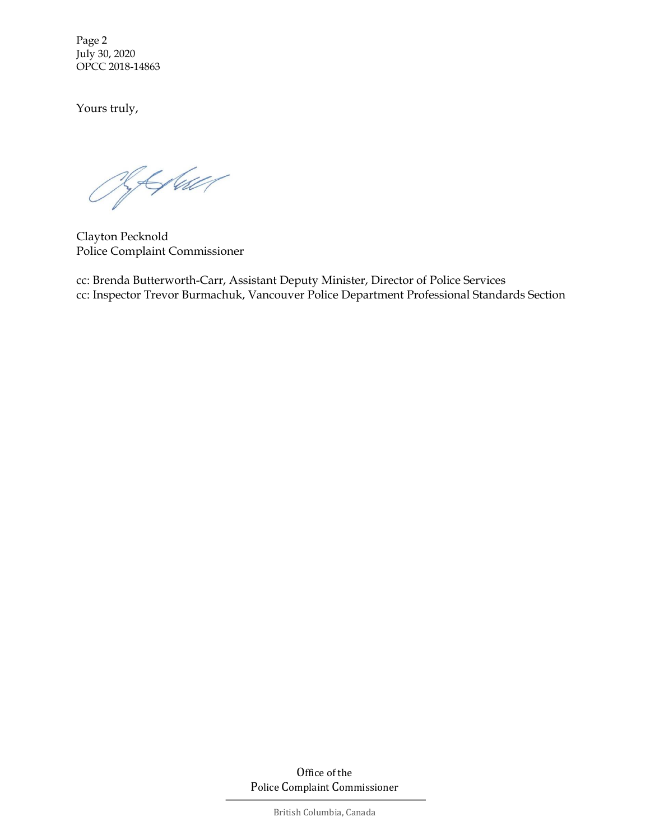Page 2 July 30, 2020 OPCC 2018-14863

Yours truly,

RAGuer

Clayton Pecknold Police Complaint Commissioner

cc: Brenda Butterworth-Carr, Assistant Deputy Minister, Director of Police Services cc: Inspector Trevor Burmachuk, Vancouver Police Department Professional Standards Section

> Office of the Police Complaint Commissioner